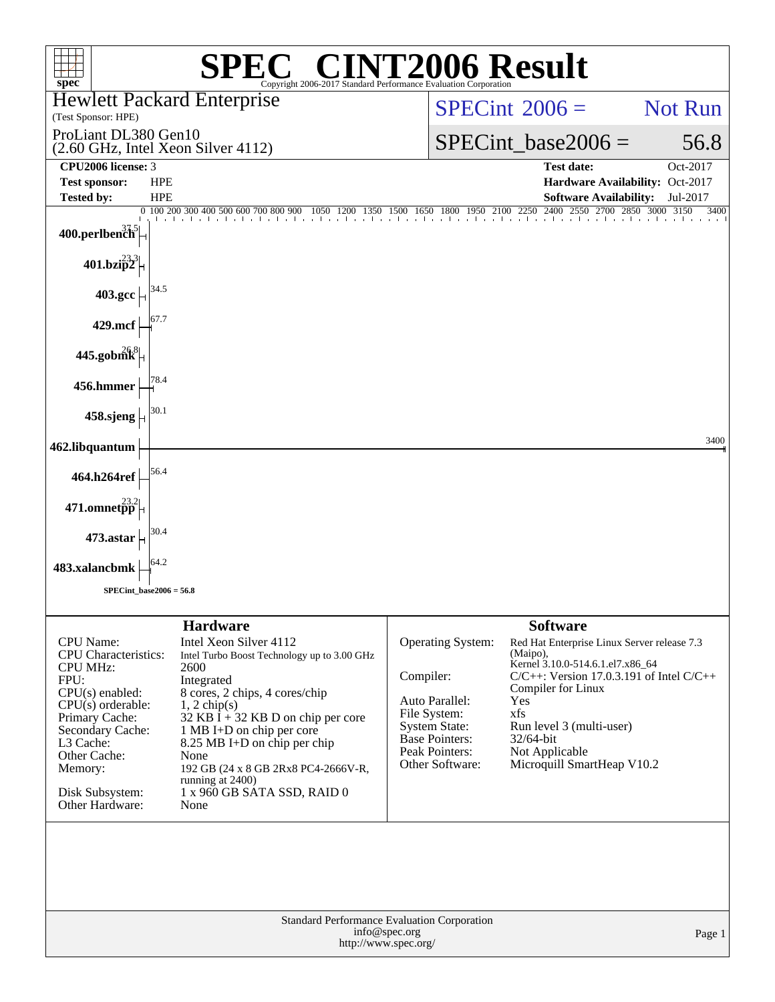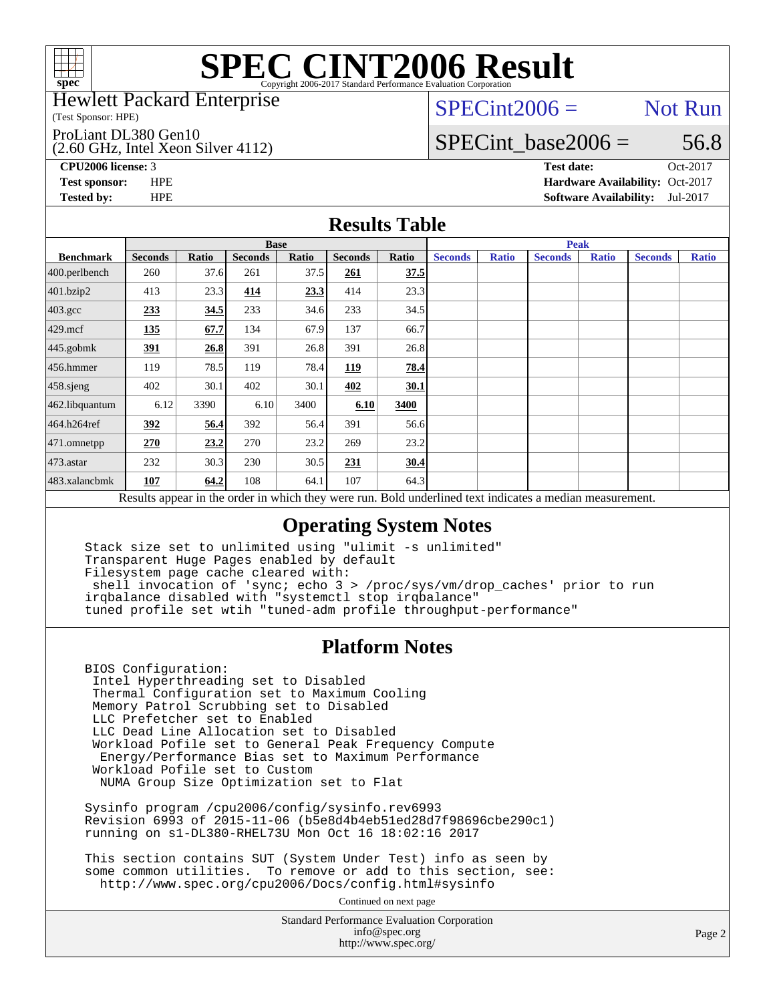

#### Hewlett Packard Enterprise

(Test Sponsor: HPE)

ProLiant DL380 Gen10

(2.60 GHz, Intel Xeon Silver 4112)

 $SPECint2006 =$  Not Run

### SPECint base2006 =  $56.8$

**[CPU2006 license:](http://www.spec.org/auto/cpu2006/Docs/result-fields.html#CPU2006license)** 3 **[Test date:](http://www.spec.org/auto/cpu2006/Docs/result-fields.html#Testdate)** Oct-2017

**[Test sponsor:](http://www.spec.org/auto/cpu2006/Docs/result-fields.html#Testsponsor)** HPE **[Hardware Availability:](http://www.spec.org/auto/cpu2006/Docs/result-fields.html#HardwareAvailability)** Oct-2017 **[Tested by:](http://www.spec.org/auto/cpu2006/Docs/result-fields.html#Testedby)** HPE **[Software Availability:](http://www.spec.org/auto/cpu2006/Docs/result-fields.html#SoftwareAvailability)** Jul-2017

#### **[Results Table](http://www.spec.org/auto/cpu2006/Docs/result-fields.html#ResultsTable)**

|                                                                                                          | <b>Base</b>    |       |                |       |                |       | <b>Peak</b>    |              |                |              |                |              |
|----------------------------------------------------------------------------------------------------------|----------------|-------|----------------|-------|----------------|-------|----------------|--------------|----------------|--------------|----------------|--------------|
| <b>Benchmark</b>                                                                                         | <b>Seconds</b> | Ratio | <b>Seconds</b> | Ratio | <b>Seconds</b> | Ratio | <b>Seconds</b> | <b>Ratio</b> | <b>Seconds</b> | <b>Ratio</b> | <b>Seconds</b> | <b>Ratio</b> |
| $400.$ perlbench                                                                                         | 260            | 37.6  | 261            | 37.5  | 261            | 37.5  |                |              |                |              |                |              |
| 401.bzip2                                                                                                | 413            | 23.3  | 414            | 23.3  | 414            | 23.3  |                |              |                |              |                |              |
| $403.\mathrm{gcc}$                                                                                       | 233            | 34.5  | 233            | 34.6  | 233            | 34.5  |                |              |                |              |                |              |
| $429$ .mcf                                                                                               | <u>135</u>     | 67.7  | 134            | 67.9  | 137            | 66.7  |                |              |                |              |                |              |
| $445$ .gobmk                                                                                             | <u>391</u>     | 26.8  | 391            | 26.8  | 391            | 26.8  |                |              |                |              |                |              |
| $456.$ hmmer                                                                                             | 119            | 78.5  | 119            | 78.4  | <u>119</u>     | 78.4  |                |              |                |              |                |              |
| 458.sjeng                                                                                                | 402            | 30.1  | 402            | 30.1  | 402            | 30.1  |                |              |                |              |                |              |
| 462.libquantum                                                                                           | 6.12           | 3390  | 6.10           | 3400  | 6.10           | 3400  |                |              |                |              |                |              |
| 464.h264ref                                                                                              | 392            | 56.4  | 392            | 56.4  | 391            | 56.6  |                |              |                |              |                |              |
| 471.omnetpp                                                                                              | 270            | 23.2  | 270            | 23.2  | 269            | 23.2  |                |              |                |              |                |              |
| $473.$ astar                                                                                             | 232            | 30.3  | 230            | 30.5  | 231            | 30.4  |                |              |                |              |                |              |
| 483.xalancbmk                                                                                            | 107            | 64.2  | 108            | 64.1  | 107            | 64.3  |                |              |                |              |                |              |
| Results appear in the order in which they were run. Bold underlined text indicates a median measurement. |                |       |                |       |                |       |                |              |                |              |                |              |

### **[Operating System Notes](http://www.spec.org/auto/cpu2006/Docs/result-fields.html#OperatingSystemNotes)**

 Stack size set to unlimited using "ulimit -s unlimited" Transparent Huge Pages enabled by default Filesystem page cache cleared with: shell invocation of 'sync; echo 3 > /proc/sys/vm/drop\_caches' prior to run irqbalance disabled with "systemctl stop irqbalance" tuned profile set wtih "tuned-adm profile throughput-performance"

#### **[Platform Notes](http://www.spec.org/auto/cpu2006/Docs/result-fields.html#PlatformNotes)**

 BIOS Configuration: Intel Hyperthreading set to Disabled Thermal Configuration set to Maximum Cooling Memory Patrol Scrubbing set to Disabled LLC Prefetcher set to Enabled LLC Dead Line Allocation set to Disabled Workload Pofile set to General Peak Frequency Compute Energy/Performance Bias set to Maximum Performance Workload Pofile set to Custom NUMA Group Size Optimization set to Flat

 Sysinfo program /cpu2006/config/sysinfo.rev6993 Revision 6993 of 2015-11-06 (b5e8d4b4eb51ed28d7f98696cbe290c1) running on s1-DL380-RHEL73U Mon Oct 16 18:02:16 2017

 This section contains SUT (System Under Test) info as seen by some common utilities. To remove or add to this section, see: <http://www.spec.org/cpu2006/Docs/config.html#sysinfo>

Continued on next page

Standard Performance Evaluation Corporation [info@spec.org](mailto:info@spec.org) <http://www.spec.org/>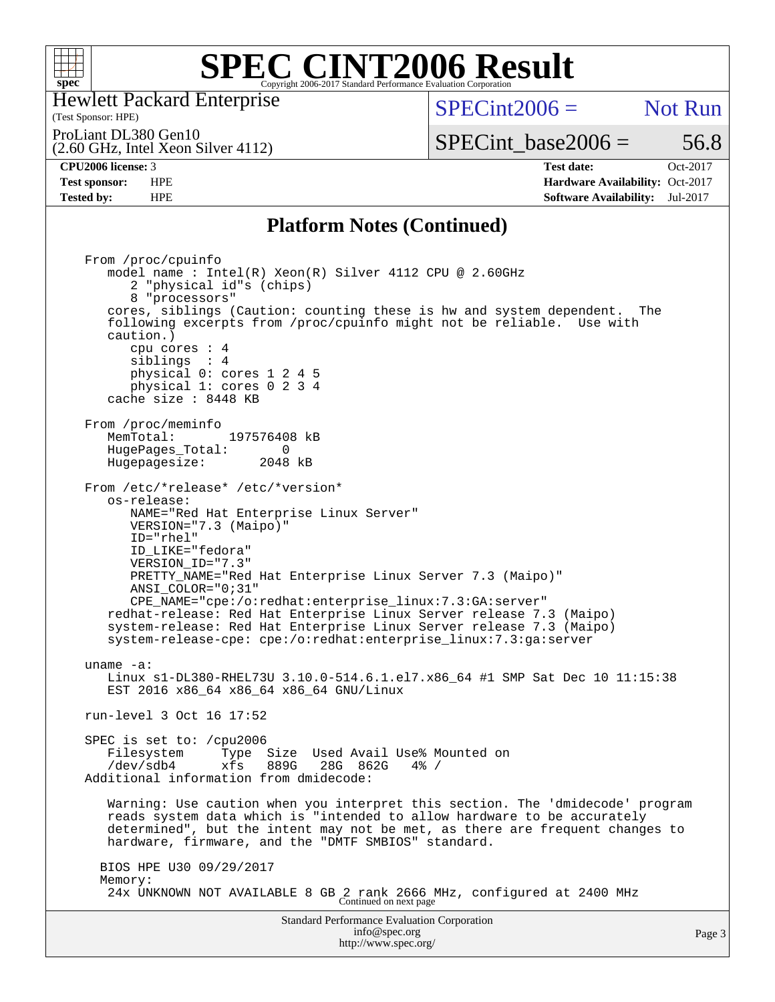

Hewlett Packard Enterprise

#### (Test Sponsor: HPE)

 $SPECint2006 =$  Not Run

ProLiant DL380 Gen10

(2.60 GHz, Intel Xeon Silver 4112)

SPECint base2006 =  $56.8$ 

**[CPU2006 license:](http://www.spec.org/auto/cpu2006/Docs/result-fields.html#CPU2006license)** 3 **[Test date:](http://www.spec.org/auto/cpu2006/Docs/result-fields.html#Testdate)** Oct-2017 **[Test sponsor:](http://www.spec.org/auto/cpu2006/Docs/result-fields.html#Testsponsor)** HPE **[Hardware Availability:](http://www.spec.org/auto/cpu2006/Docs/result-fields.html#HardwareAvailability)** Oct-2017 **[Tested by:](http://www.spec.org/auto/cpu2006/Docs/result-fields.html#Testedby)** HPE **[Software Availability:](http://www.spec.org/auto/cpu2006/Docs/result-fields.html#SoftwareAvailability)** Jul-2017

#### **[Platform Notes \(Continued\)](http://www.spec.org/auto/cpu2006/Docs/result-fields.html#PlatformNotes)**

Standard Performance Evaluation Corporation [info@spec.org](mailto:info@spec.org) From /proc/cpuinfo model name : Intel(R) Xeon(R) Silver 4112 CPU @ 2.60GHz 2 "physical id"s (chips) 8 "processors" cores, siblings (Caution: counting these is hw and system dependent. The following excerpts from /proc/cpuinfo might not be reliable. Use with caution.) cpu cores : 4 siblings : 4 physical 0: cores 1 2 4 5 physical 1: cores 0 2 3 4 cache size : 8448 KB From /proc/meminfo MemTotal: 197576408 kB<br>HugePages Total: 0 HugePages\_Total: 0 Hugepagesize: 2048 kB From /etc/\*release\* /etc/\*version\* os-release: NAME="Red Hat Enterprise Linux Server" VERSION="7.3 (Maipo)" ID="rhel" ID\_LIKE="fedora" VERSION\_ID="7.3" PRETTY\_NAME="Red Hat Enterprise Linux Server 7.3 (Maipo)" ANSI\_COLOR="0;31" CPE\_NAME="cpe:/o:redhat:enterprise\_linux:7.3:GA:server" redhat-release: Red Hat Enterprise Linux Server release 7.3 (Maipo) system-release: Red Hat Enterprise Linux Server release 7.3 (Maipo) system-release-cpe: cpe:/o:redhat:enterprise\_linux:7.3:ga:server uname -a: Linux s1-DL380-RHEL73U 3.10.0-514.6.1.el7.x86\_64 #1 SMP Sat Dec 10 11:15:38 EST 2016 x86\_64 x86\_64 x86\_64 GNU/Linux run-level 3 Oct 16 17:52 SPEC is set to: /cpu2006 Filesystem Type Size Used Avail Use% Mounted on /dev/sdb4 xfs 889G 28G 862G 4% / Additional information from dmidecode: Warning: Use caution when you interpret this section. The 'dmidecode' program reads system data which is "intended to allow hardware to be accurately determined", but the intent may not be met, as there are frequent changes to hardware, firmware, and the "DMTF SMBIOS" standard. BIOS HPE U30 09/29/2017 Memory: 24x UNKNOWN NOT AVAILABLE 8 GB 2 rank 2666 MHz, configured at 2400 MHz Continued on next page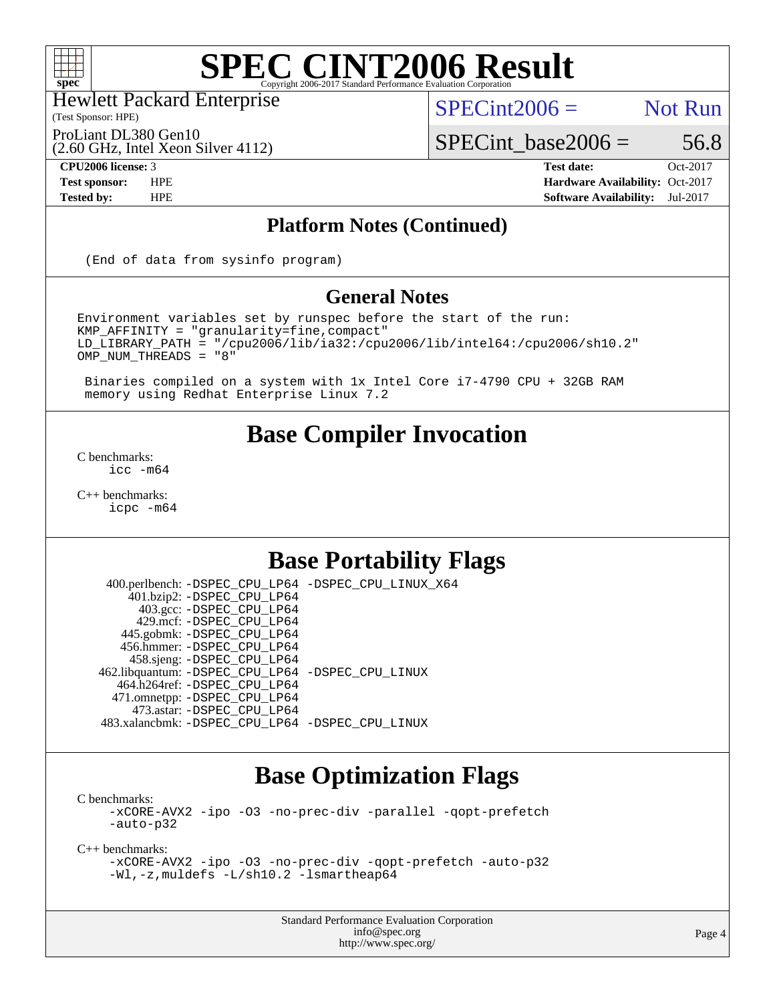

Hewlett Packard Enterprise

(Test Sponsor: HPE)

 $SPECint2006 =$  Not Run

ProLiant DL380 Gen10

(2.60 GHz, Intel Xeon Silver 4112)

 $SPECTnt\_base2006 = 56.8$ 

**[CPU2006 license:](http://www.spec.org/auto/cpu2006/Docs/result-fields.html#CPU2006license)** 3 **[Test date:](http://www.spec.org/auto/cpu2006/Docs/result-fields.html#Testdate)** Oct-2017 **[Test sponsor:](http://www.spec.org/auto/cpu2006/Docs/result-fields.html#Testsponsor)** HPE **[Hardware Availability:](http://www.spec.org/auto/cpu2006/Docs/result-fields.html#HardwareAvailability)** Oct-2017 **[Tested by:](http://www.spec.org/auto/cpu2006/Docs/result-fields.html#Testedby)** HPE **[Software Availability:](http://www.spec.org/auto/cpu2006/Docs/result-fields.html#SoftwareAvailability)** Jul-2017

#### **[Platform Notes \(Continued\)](http://www.spec.org/auto/cpu2006/Docs/result-fields.html#PlatformNotes)**

(End of data from sysinfo program)

#### **[General Notes](http://www.spec.org/auto/cpu2006/Docs/result-fields.html#GeneralNotes)**

Environment variables set by runspec before the start of the run: KMP\_AFFINITY = "granularity=fine,compact" LD\_LIBRARY\_PATH = "/cpu2006/lib/ia32:/cpu2006/lib/intel64:/cpu2006/sh10.2" OMP\_NUM\_THREADS = "8"

 Binaries compiled on a system with 1x Intel Core i7-4790 CPU + 32GB RAM memory using Redhat Enterprise Linux 7.2

### **[Base Compiler Invocation](http://www.spec.org/auto/cpu2006/Docs/result-fields.html#BaseCompilerInvocation)**

[C benchmarks](http://www.spec.org/auto/cpu2006/Docs/result-fields.html#Cbenchmarks): [icc -m64](http://www.spec.org/cpu2006/results/res2017q4/cpu2006-20171031-50453.flags.html#user_CCbase_intel_icc_64bit_bda6cc9af1fdbb0edc3795bac97ada53)

[C++ benchmarks:](http://www.spec.org/auto/cpu2006/Docs/result-fields.html#CXXbenchmarks) [icpc -m64](http://www.spec.org/cpu2006/results/res2017q4/cpu2006-20171031-50453.flags.html#user_CXXbase_intel_icpc_64bit_fc66a5337ce925472a5c54ad6a0de310)

## **[Base Portability Flags](http://www.spec.org/auto/cpu2006/Docs/result-fields.html#BasePortabilityFlags)**

 400.perlbench: [-DSPEC\\_CPU\\_LP64](http://www.spec.org/cpu2006/results/res2017q4/cpu2006-20171031-50453.flags.html#b400.perlbench_basePORTABILITY_DSPEC_CPU_LP64) [-DSPEC\\_CPU\\_LINUX\\_X64](http://www.spec.org/cpu2006/results/res2017q4/cpu2006-20171031-50453.flags.html#b400.perlbench_baseCPORTABILITY_DSPEC_CPU_LINUX_X64) 401.bzip2: [-DSPEC\\_CPU\\_LP64](http://www.spec.org/cpu2006/results/res2017q4/cpu2006-20171031-50453.flags.html#suite_basePORTABILITY401_bzip2_DSPEC_CPU_LP64) 403.gcc: [-DSPEC\\_CPU\\_LP64](http://www.spec.org/cpu2006/results/res2017q4/cpu2006-20171031-50453.flags.html#suite_basePORTABILITY403_gcc_DSPEC_CPU_LP64) 429.mcf: [-DSPEC\\_CPU\\_LP64](http://www.spec.org/cpu2006/results/res2017q4/cpu2006-20171031-50453.flags.html#suite_basePORTABILITY429_mcf_DSPEC_CPU_LP64) 445.gobmk: [-DSPEC\\_CPU\\_LP64](http://www.spec.org/cpu2006/results/res2017q4/cpu2006-20171031-50453.flags.html#suite_basePORTABILITY445_gobmk_DSPEC_CPU_LP64) 456.hmmer: [-DSPEC\\_CPU\\_LP64](http://www.spec.org/cpu2006/results/res2017q4/cpu2006-20171031-50453.flags.html#suite_basePORTABILITY456_hmmer_DSPEC_CPU_LP64) 458.sjeng: [-DSPEC\\_CPU\\_LP64](http://www.spec.org/cpu2006/results/res2017q4/cpu2006-20171031-50453.flags.html#suite_basePORTABILITY458_sjeng_DSPEC_CPU_LP64) 462.libquantum: [-DSPEC\\_CPU\\_LP64](http://www.spec.org/cpu2006/results/res2017q4/cpu2006-20171031-50453.flags.html#suite_basePORTABILITY462_libquantum_DSPEC_CPU_LP64) [-DSPEC\\_CPU\\_LINUX](http://www.spec.org/cpu2006/results/res2017q4/cpu2006-20171031-50453.flags.html#b462.libquantum_baseCPORTABILITY_DSPEC_CPU_LINUX) 464.h264ref: [-DSPEC\\_CPU\\_LP64](http://www.spec.org/cpu2006/results/res2017q4/cpu2006-20171031-50453.flags.html#suite_basePORTABILITY464_h264ref_DSPEC_CPU_LP64) 471.omnetpp: [-DSPEC\\_CPU\\_LP64](http://www.spec.org/cpu2006/results/res2017q4/cpu2006-20171031-50453.flags.html#suite_basePORTABILITY471_omnetpp_DSPEC_CPU_LP64) 473.astar: [-DSPEC\\_CPU\\_LP64](http://www.spec.org/cpu2006/results/res2017q4/cpu2006-20171031-50453.flags.html#suite_basePORTABILITY473_astar_DSPEC_CPU_LP64) 483.xalancbmk: [-DSPEC\\_CPU\\_LP64](http://www.spec.org/cpu2006/results/res2017q4/cpu2006-20171031-50453.flags.html#suite_basePORTABILITY483_xalancbmk_DSPEC_CPU_LP64) [-DSPEC\\_CPU\\_LINUX](http://www.spec.org/cpu2006/results/res2017q4/cpu2006-20171031-50453.flags.html#b483.xalancbmk_baseCXXPORTABILITY_DSPEC_CPU_LINUX)

## **[Base Optimization Flags](http://www.spec.org/auto/cpu2006/Docs/result-fields.html#BaseOptimizationFlags)**

[C benchmarks](http://www.spec.org/auto/cpu2006/Docs/result-fields.html#Cbenchmarks):

[-xCORE-AVX2](http://www.spec.org/cpu2006/results/res2017q4/cpu2006-20171031-50453.flags.html#user_CCbase_f-xCORE-AVX2) [-ipo](http://www.spec.org/cpu2006/results/res2017q4/cpu2006-20171031-50453.flags.html#user_CCbase_f-ipo) [-O3](http://www.spec.org/cpu2006/results/res2017q4/cpu2006-20171031-50453.flags.html#user_CCbase_f-O3) [-no-prec-div](http://www.spec.org/cpu2006/results/res2017q4/cpu2006-20171031-50453.flags.html#user_CCbase_f-no-prec-div) [-parallel](http://www.spec.org/cpu2006/results/res2017q4/cpu2006-20171031-50453.flags.html#user_CCbase_f-parallel) [-qopt-prefetch](http://www.spec.org/cpu2006/results/res2017q4/cpu2006-20171031-50453.flags.html#user_CCbase_f-qopt-prefetch) [-auto-p32](http://www.spec.org/cpu2006/results/res2017q4/cpu2006-20171031-50453.flags.html#user_CCbase_f-auto-p32)

[C++ benchmarks:](http://www.spec.org/auto/cpu2006/Docs/result-fields.html#CXXbenchmarks)

[-xCORE-AVX2](http://www.spec.org/cpu2006/results/res2017q4/cpu2006-20171031-50453.flags.html#user_CXXbase_f-xCORE-AVX2) [-ipo](http://www.spec.org/cpu2006/results/res2017q4/cpu2006-20171031-50453.flags.html#user_CXXbase_f-ipo) [-O3](http://www.spec.org/cpu2006/results/res2017q4/cpu2006-20171031-50453.flags.html#user_CXXbase_f-O3) [-no-prec-div](http://www.spec.org/cpu2006/results/res2017q4/cpu2006-20171031-50453.flags.html#user_CXXbase_f-no-prec-div) [-qopt-prefetch](http://www.spec.org/cpu2006/results/res2017q4/cpu2006-20171031-50453.flags.html#user_CXXbase_f-qopt-prefetch) [-auto-p32](http://www.spec.org/cpu2006/results/res2017q4/cpu2006-20171031-50453.flags.html#user_CXXbase_f-auto-p32) [-Wl,-z,muldefs](http://www.spec.org/cpu2006/results/res2017q4/cpu2006-20171031-50453.flags.html#user_CXXbase_link_force_multiple1_74079c344b956b9658436fd1b6dd3a8a) [-L/sh10.2 -lsmartheap64](http://www.spec.org/cpu2006/results/res2017q4/cpu2006-20171031-50453.flags.html#user_CXXbase_SmartHeap64_63911d860fc08c15fa1d5bf319b9d8d5)

> Standard Performance Evaluation Corporation [info@spec.org](mailto:info@spec.org) <http://www.spec.org/>